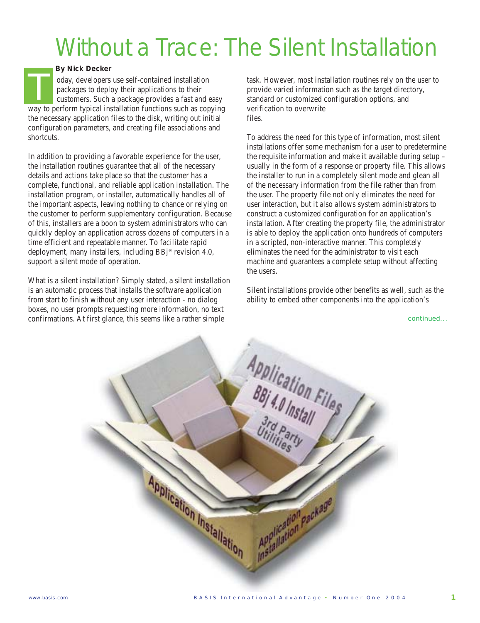## Without a Trace: The Silent Installation

## *By Nick Decker*

oday, developers use self-contained installation packages to deploy their applications to their customers. Such a package provides a fast and easy oday, developers use self-contained installation<br>packages to deploy their applications to their<br>customers. Such a package provides a fast and easy<br>way to perform typical installation functions such as copying the necessary application files to the disk, writing out initial configuration parameters, and creating file associations and shortcuts.

In addition to providing a favorable experience for the user, the installation routines guarantee that all of the necessary details and actions take place so that the customer has a complete, functional, and reliable application installation. The installation program, or installer, automatically handles all of the important aspects, leaving nothing to chance or relying on the customer to perform supplementary configuration. Because of this, installers are a boon to system administrators who can quickly deploy an application across dozens of computers in a time efficient and repeatable manner. To facilitate rapid deployment, many installers, including BBj® revision 4.0, support a silent mode of operation.

What is a silent installation? Simply stated, a silent installation is an automatic process that installs the software application from start to finish without any user interaction - no dialog boxes, no user prompts requesting more information, no text confirmations. At first glance, this seems like a rather simple

task. However, most installation routines rely on the user to provide varied information such as the target directory, standard or customized configuration options, and verification to overwrite files.

To address the need for this type of information, most silent installations offer some mechanism for a user to predetermine the requisite information and make it available during setup – usually in the form of a response or property file. This allows the installer to run in a completely silent mode and glean all of the necessary information from the file rather than from the user. The property file not only eliminates the need for user interaction, but it also allows system administrators to construct a customized configuration for an application's installation. After creating the property file, the administrator is able to deploy the application onto hundreds of computers in a scripted, non-interactive manner. This completely eliminates the need for the administrator to visit each machine and guarantees a complete setup without affecting the users.

Silent installations provide other benefits as well, such as the ability to embed other components into the application's

continued...